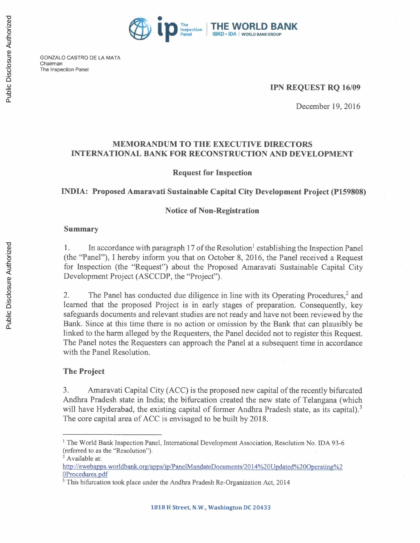

GONZALO CASTRO DE LA MATA Chairman The Inspection Panel

#### IPN REQUEST RQ *16/09*

December 19,2016

#### MEMORANDUM TO THE EXECUTIVE DIRECTORS INTERNATIONAL BANK FOR RECONSTRUCTION AND DEVELOPMENT

#### Request for Inspection

#### INDIA: Proposed Amaravati Sustainable Capital City Development Project (P159808)

#### Notice of Non-Registration

#### Summary

1. In accordance with paragraph 17 of the Resolution<sup>1</sup> establishing the Inspection Panel (the "Panel"), I hereby inform you that on October 8, 2016, the Panel received a Request for Inspection (the "Request") about the Proposed Amaravati Sustainable Capital City Development Project (ASCCDP, the "Project").

2. The Panel has conducted due diligence in line with its Operating Procedures.? and learned that the proposed Project is in early stages of preparation. Consequently, key safeguards documents and relevant studies are not ready and have not been reviewed by the Bank. Since at this time there is no action or omission by the Bank that can plausibly be linked to the harm alleged by the Requesters, the Panel decided not to register this Request. The Panel notes the Requesters can approach the Panel at a subsequent time in accordance with the Panel Resolution.

#### The Project

3. Amaravati Capital City (ACC) is the proposed new capital of the recently bifurcated Andhra Pradesh state in India; the bifurcation created the new state of Telangana (which will have Hyderabad, the existing capital of former Andhra Pradesh state, as its capital).<sup>3</sup> The core capital area of ACC is envisaged to be built by 2018.

<sup>&</sup>lt;sup>1</sup> The World Bank Inspection Panel, International Development Association, Resolution No. IDA 93-6 (referred to as the "Resolution").

<sup>&</sup>lt;sup>2</sup> Available at:

http://ewebapps.worldbank.org/apps/ip/PanelMandateDocuments/2014%20Updated%20Operating%2 OProcedures.pdf

<sup>&</sup>lt;sup>3</sup> This bifurcation took place under the Andhra Pradesh Re-Organization Act, 2014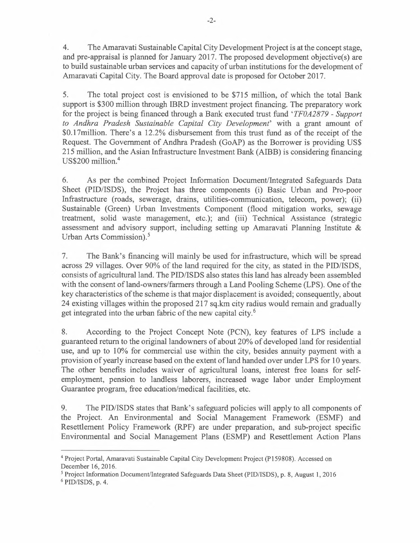4. The Amaravati Sustainable Capital City Development Project is at the concept stage, and pre-appraisal is planned for January 2017. The proposed development objective(s) are to build sustainable urban services and capacity of urban institutions for the development of Amaravati Capital City. The Board approval date is proposed for October 2017.

5. The total project cost is envisioned to be \$715 million, of which the total Bank support is \$300 million through IBRD investment project financing. The preparatory work for the project is being financed through a Bank executed trust fund' *TFOA2879 - Support to Andhra Pradesb Sustainable Capital City Development'* with a grant amount of \$0.17million. There's a 12.2% disbursement from this trust fund as of the receipt of the Request. The Government of Andhra Pradesh (GoAP) as the Borrower is providing US\$ 215 million, and the Asian Infrastructure Investment Bank (AIBB) is considering financing US\$200 million.<sup>4</sup>

6. As per the combined Project Information Document/Integrated Safeguards Data Sheet (PID/ISDS), the Project has three components (i) Basic Urban and Pro-poor Infrastructure (roads, sewerage, drains, utilities-communication, telecom, power); (ii) Sustainable (Green) Urban Investments Component (flood mitigation works, sewage treatment, solid waste management, etc.); and (iii) Technical Assistance (strategic assessment and advisory support, including setting up Amaravati Planning Institute & Urban Arts Commission).'

7. The Bank's financing will mainly be used for infrastructure, which will be spread across 29 villages. Over 90% of the land required for the city, as stated in the PID/ISDS, consists of agricultural land. The PID/ISDS also states this land has already been assembled with the consent of land-owners/farmers through a Land Pooling Scheme (LPS). One of the key characteristics of the scheme is that major displacement is avoided; consequently, about 24 existing villages within the proposed 217 sq.km city radius would remain and gradually get integrated into the urban fabric of the new capital city.<sup>6</sup>

8. According to the Project Concept Note (PCN), key features of LPS include a guaranteed return to the original landowners of about 20% of developed land for residential use, and up to 10% for commercial use within the city, besides annuity payment with a provision of yearly increase based on the extent ofland handed over under LPS for 10 years. The other benefits includes waiver of agricultural loans, interest free loans for selfemployment, pension to landless laborers, increased wage labor under Employment Guarantee program, free education/medical facilities, etc.

9. The PID/ISDS states that Bank's safeguard policies will apply to all components of the Project. An Environmental and Social Management Framework (ESMF) and Resettlement Policy Framework (RPF) are under preparation, and sub-project specific Environmental and Social Management Plans (ESMP) and Resettlement Action Plans

<sup>4</sup>Project Portal, Amaravati Sustainable Capital City Development Project (P159808). Accessed on December 16,2016.

 $5$  Project Information Document/Integrated Safeguards Data Sheet (PID/ISDS), p. 8, August 1, 2016

 $6$  PID/ISDS, p. 4.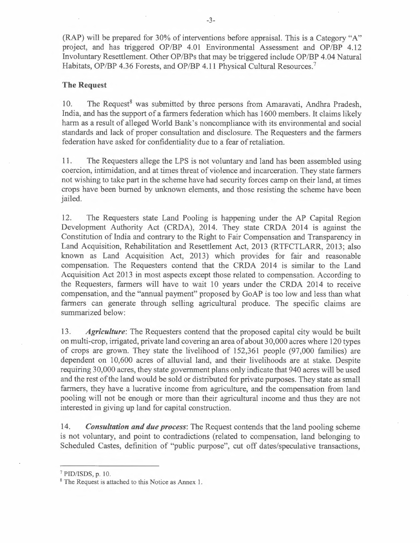(RAP) will be prepared for 30% of interventions before appraisal. This is a Category "A" project, and has triggered OP/BP 4.01 Environmental Assessment and OP/BP 4.12 Involuntary Resettlement. Other OP/BPs that may be triggered include OP/BP 4.04 Natural Habitats, OP/BP 4.36 Forests, and OP/BP 4.11 Physical Cultural Resources.<sup>7</sup>

#### The Request

10. The Request<sup>8</sup> was submitted by three persons from Amaravati, Andhra Pradesh, India, and has the support of a farmers federation which has 1600 members. It claims likely harm as a result of alleged World Bank's noncompliance with its environmental and social standards and lack of proper consultation and disclosure. The Requesters and the farmers federation have asked for confidentiality due to a fear of retaliation.

11. The Requesters allege the LPS is not voluntary and land has been assembled using coercion, intimidation, and at times threat of violence and incarceration. They state farmers not wishing to take part in the scheme have had security forces camp on their land, at times crops have been burned by unknown elements, and those resisting the scheme have been jailed.

12. The Requesters state Land Pooling is happening under the AP Capital Region Development Authority Act (CRDA), 2014. They state CRDA 2014 is against the Constitution of India and contrary to the Right to Fair Compensation and Transparency in Land Acquisition, Rehabilitation and Resettlement Act, 2013 (RTFCTLARR, 2013; also known as Land Acquisition Act, 2013) which provides for fair and reasonable compensation. The Requesters contend that the CRDA 2014 is similar to the Land Acquisition Act 2013 in most aspects except those related to compensation. According to the Requesters, farmers will have to wait 10 years under the CRDA 2014 to receive compensation, and the "annual payment" proposed by GoAP is too low and less than what farmers can generate through selling agricultural produce. The specific claims are summarized below:

*13. Agriculture:* The Requesters contend that the proposed capital city would be built on multi-crop, irrigated, private land covering an area of about 30,000 acres where 120 types of crops are grown. They state the livelihood of 152,361 people (97,000 families) are dependent on 10,600 acres of alluvial land, and their livelihoods are at stake. Despite requiring 30,000 acres, they state government plans only indicate that 940 acres will be used and the rest of the land would be sold or distributed for private purposes. They state as small farmers, they have a lucrative income from agriculture, and the compensation from land pooling will not be enough or more than their agricultural income and thus they are not interested in giving up land for capital construction.

*14. Consultation and due process:* The Request contends that the land pooling scheme is not voluntary, and point to contradictions (related to compensation, land belonging to Scheduled Castes, definition of "public purpose", cut off dates/speculative transactions,

 $7$  PID/ISDS, p. 10.

<sup>&</sup>lt;sup>8</sup> The Request is attached to this Notice as Annex 1.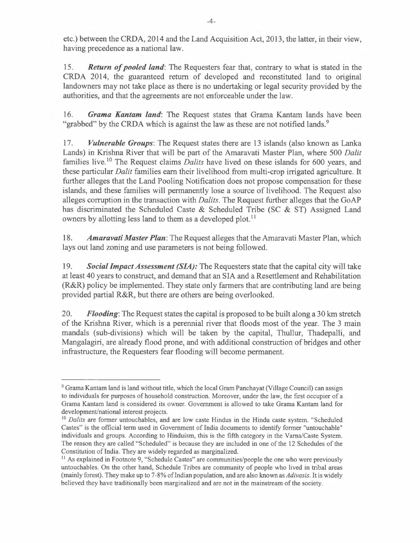etc.) between the CRDA, 2014 and the Land Acquisition Act, 2013, the latter, in their view, having precedence as a national law.

*15. Return of pooled land:* The Requesters fear that, contrary to what is stated in the CRDA 2014, the guaranteed return of developed and reconstituted land to original landowners may not take place as there is no undertaking or legal security provided by the authorities, and that the agreements are not enforceable under the law.

*16. Grama Kantam land:* The Request states that Grama Kantam lands have been "grabbed" by the CRDA which is against the law as these are not notified lands.<sup>9</sup>

*17. Vulnerable Groups:* The Request states there are 13 islands (also known as Lanka Lands) in Krishna River that will be part of the Amaravati Master Plan, where 500 *Dalit*  families live.<sup>10</sup> The Request claims *Dalits* have lived on these islands for 600 years, and these particular *Dalit* families earn their livelihood from multi-crop irrigated agriculture. It further alleges that the Land Pooling Notification does not propose compensation for these islands, and these families will permanently lose a source of livelihood. The Request also alleges corruption in the transaction with *Dalits.* The Request further alleges that the GoAP has discriminated the Scheduled Caste & Scheduled Tribe (SC & ST) Assigned Land owners by allotting less land to them as a developed plot.<sup>11</sup>

*18. Amaravati Master Plan:* The Request alleges that the Amaravati Master Plan, which lays out land zoning and use parameters is not being followed.

*19. Social Impact Assessment (SJA):* The Requesters state that the capital city will take at least 40 years to construct, and demand that an SIA and a Resettlement and Rehabilitation (R&R) policy be implemented. They state only farmers that are contributing land are being provided partial R&R, but there are others are being overlooked.

*20. Flooding:* The Request states the capital is proposed to be built along a 30 km stretch of the Krishna River, which is a perennial river that floods most of the year. The 3 main mandals (sub-divisions) which will be taken by the capital, Thullur, Thadepalli, and Mangalagiri, are already flood prone, and with additional construction of bridges and other infrastructure, the Requesters fear flooding will become permanent.

<sup>9</sup>Grama Kantam land is land without title, which the local Gram Panchayat (Village Council) can assign to individuals for purposes of household construction. Moreover, under the law, the first occupier of a Grama Kantam land is considered its owner. Government is allowed to take Grama Kantam land for development/national interest projects.

<sup>&</sup>lt;sup>10</sup> Dalits are former untouchables, and are low caste Hindus in the Hindu caste system. "Scheduled Castes" is the official term used in Government of India documents to identify former "untouchable" individuals and groups. According to Hinduism, this is the fifth category in the Varna/Caste System. The reason they are called "Scheduled" is because they are included in one of the 12 Schedules of the Constitution of India. They are widely regarded as marginalized.

<sup>&</sup>lt;sup>11</sup> As explained in Footnote 9, "Schedule Castes" are communities/people the one who were previously untouchables. On the other hand, Schedule Tribes are community of people who lived in tribal areas (mainly forest). They make up to 7 -8% oflndian population, and are also known as *Adivasis.* It is widely believed they have traditionally been marginalized and are not in the mainstream of the society.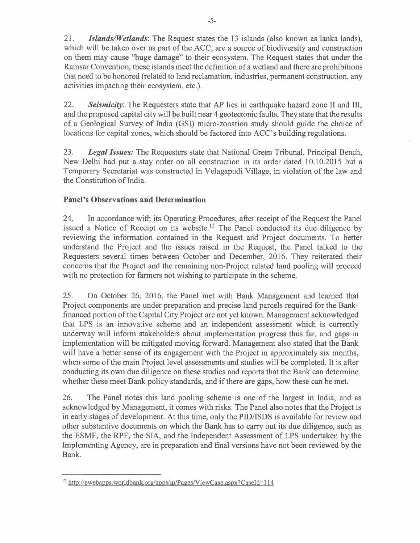*21. Islands/Wetlands:* The Request states the 13 islands (also known as lanka lands), which will be taken over as part of the ACC, are a source of biodiversity and construction on them may cause "huge damage" to their ecosystem. The Request states that under the Ramsar Convention, these islands meet the definition of a wetland and there are prohibitions that need to be honored (related to land reclamation, industries, permanent construction, any activities impacting their ecosystem, etc.).

*22. Seismicity:* The Requesters state that AP lies in earthquake hazard zone II and III, and the proposed capital city will be built near 4 geotectonic faults. They state that the results of a Geological Survey of India (GSI) micro-zonation study should guide the choice of locations for capital zones, which should be factored into ACC's building regulations.

*23. Legal Issues:* The Requesters state that National Green Tribunal, Principal Bench, New Delhi had put a stay order on all construction in its order dated 10.10.2015 but a Temporary Secretariat was constructed in Velagapudi Village, in violation of the law and the Constitution of India.

#### **Panel's Observations and Determination**

24. In accordance with its Operating Procedures, after receipt of the Request the Panel issued a Notice of Receipt on its website.<sup>12</sup> The Panel conducted its due diligence by reviewing the information contained in the Request and Project documents. To better understand the Project and the issues raised in the Request, the Panel talked to the Requesters several times between October and December, 2016. They reiterated their concerns that the Project and the remaining non-Project related land pooling will proceed with no protection for farmers not wishing to participate in the scheme.

25. On October 26, 2016, the Panel met with Bank Management and learned that Project components are under preparation and precise land parcels required for the Bankfinanced portion of the Capital City Project are not yet known. Management acknowledged that LPS is an innovative scheme and an independent assessment which is currently underway will inform stakeholders about implementation progress thus far, and gaps in implementation will be mitigated moving forward. Management also stated that the Bank will have a better sense of its engagement with the Project in approximately six months, when some of the main Project level assessments and studies will be completed. It is after conducting its own due diligence on these studies and reports that the Bank can determine whether these meet Bank policy standards, and if there are gaps, how these can be met.

26. The Panel notes this land pooling scheme is one of the largest in India, and as acknowledged by Management, it comes with risks. The Panel also notes that the Project is in early stages of development. At this time, only the PID/ISDS is available for review and other substantive documents on which the Bank has to carry out its due diligence, such as the ESMF, the RPF, the SIA, and the Independent Assessment of LPS undertaken by the Implementing Agency, are in preparation and final versions have not been reviewed by the Bank.

<sup>&</sup>lt;sup>12</sup> http://ewebapps.worldbank.org/apps/ip/Pages/ViewCase.aspx?CaseId=114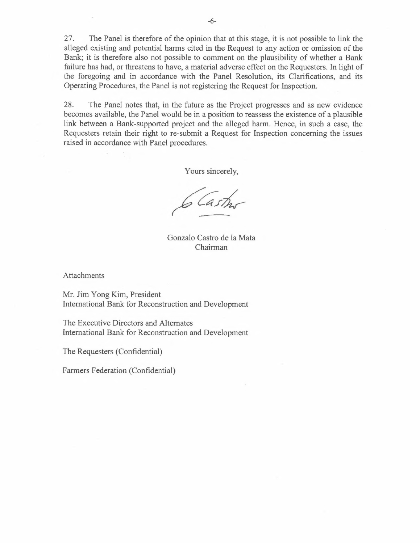27. The Panel is therefore of the opinion that at this stage, it is not possible to link the alleged existing and potential harms cited in the Request to any action or omission of the Bank; it is therefore also not possible to comment on the plausibility of whether a Bank failure has had, or threatens to have, a material adverse effect on the Requesters. In light of the foregoing and in accordance with the Panel Resolution, its Clarifications, and its Operating Procedures, the Panel is not registering the Request for Inspection.

28. The Panel notes that, in the future as the Project progresses and as new evidence becomes available, the Panel would be in a position to reassess the existence of a plausible link between a Bank-supported project and the alleged harm. Hence, in such a case, the Requesters retain their right to re-submit a Request for Inspection concerning the issues raised in accordance with Panel procedures.

Yours sincerely,

Gonzalo Castro de la Mata Chairman

**Attachments** 

Mr. Jim Y ong Kim, President International Bank for Reconstruction and Development

The Executive Directors and Alternates International Bank for Reconstruction and Development

The Requesters (Confidential)

Farmers Federation (Confidential)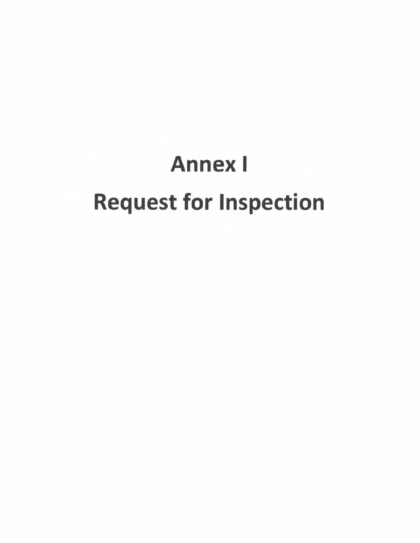# Annex I Request for Inspection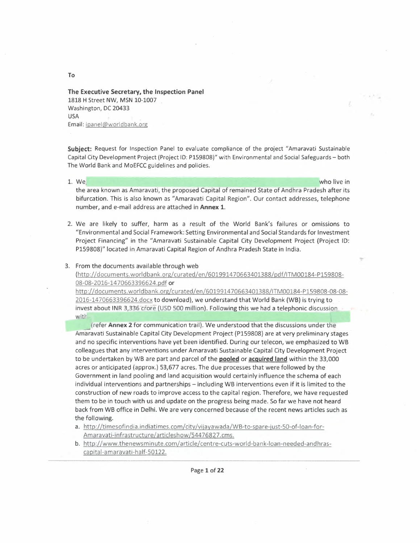#### **The Executive Secretary, the Inspection Panel**  1818 H Street NW, MSN 10-1007 Washington, DC 20433 USA Email: ipanel@worldbank.org

**Subject:** Request for Inspection Panel to evaluate compliance of the project "Amaravati Sustainable Capital City Development Project (Project 10: P159808)" with Environmental and Social Safeguards - both The World Bank and MoEFCC guidelines and policies.

,  $\lambda$  ,

.....

1. We who live in the second state in the second state in the second state in the who live in the area known as Amaravati, the proposed Capital of remained State of Andhra Pradesh after its bifurcation. This is also known as "Amaravati Capital Region". Our contact addresses, telephone number, and e-mail address are attached in **Annex 1.** 

2. We are likely to suffer, harm as a result of the World Bank's failures or omissions to "Environmental and Social Framework: Setting Environmental and Social Standards for Investment Project Financing" in the "Amaravati Sustainable Capital City Development Project (Project ID: P159808)" located in. Amaravati Capital Region of Andhra Pradesh State in India.

#### 3. From the documents available through web

(http://documents.worldbank.org/curated/en/601991470663401388/pdf/ITM00184-P159808- 08-08-2016-1470663396624.pdf or

http://documents.worldbank.org/curated/en/601991470663401388/ITM00184-P159808-08-08- 2016-1470663396624.docx to download), we understand that World Bank (WB) is trying to invest about INR 3,336 crore (USD 500 million). Following this we had a telephonic discussion with.

**Fig. (refer Annex 2** for communication trail). We understood that the discussions under the Arnaravati Sustainable Capital City Development Project (P159808) are at very preliminary stages and no specific interventions have yet been identified. During our telecon, we emphasized to WB colleagues that any interventions under Amaravati Sustainable Capital City Development Project to be undertaken by WB are part and parcel of the **pooled or acquired land** within the 33,000 acres or anticipated (approx.) 53,677 acres. The due processes that were followed by the Government in land pooling and land acquisition would certainly influence the schema of each individual interventions and partnerships - including WB interventions even if it is limited to the construction of new roads to improve access to the capital region. Therefore, we have requested them to be in touch with us and update on the progress being made. So far we have not heard back from WB office in Delhi. We are very concerned because of the recent news articles such as the following.

- a. http://timesofindia.indiatimes.com/city/vijayawada/WB-to-spare-just-50-of-loan-for-Amaravati-infrastructure/articleshow/S4476827.cms.
- b. http://www.thenewsminute.com/article/centre-cuts-world-bank-loan-needed-and hrascapital-amaravati-half-50122.

**To** 

Page 1 of **22**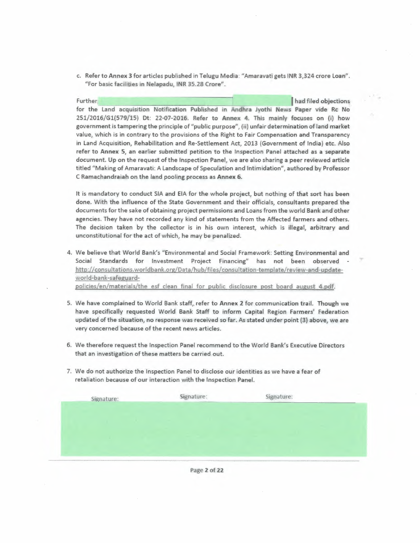c. Refer to Annex 3 for articles published in Telugu Media: "Amaravati gets INR 3,324 crore Loan", "For basic facilities in Nelapadu, INR 35.28 Crore".

, ,

Further, **I had filed objections** for the land acquisition Notification Published in Andhra Jyothi News Paper vide Rc No 251/2016/Gl(579/15) Dt: 22-07-2016. Refer to Annex 4. This mainly focuses on (i) how government is tampering the principle of "public purpose", (ii) unfair determination of land market value, which is in contrary to the provisions of the Right to Fair Compensation and Transparency. in land Acquisition, Rehabilitation and Re-Settlement Act, 2013 (Government of Ihdia) etc. Also refer to Annex 5, an earlier submitted petition to the Inspection Panel attached as a separate document. Up on the request of the Inspection Panel, We are also sharing a peer reviewed article titled "Making of Amaravati: A Landscape of Speculation and Intimidation", authored by Professor C Ramachandraiah on the land pooling process as Annex 6.

It is mandatory to conduct SIA and EIA for the whole project, but nothing of that sort has been done. With the influence of the State Government and their officials, consultants prepared the documents for the sake of obtaining project permissions and Loans from the world Bank and other agencies. They have not recorded any kind of statements from the Affected farmers and others. The decision taken by the collector is in his own interest, which is illegal, arbitrary and unconstitutional for the act of which, he may be penalized.

- 4. We believe that World Bank's "Envtronmental and Social Framework: Setting Environmental and Social Standards for Investment Project Financing" has not been observed http://consultations.worldbank.org/Data/hub/files/consultation-template/review-and-updateworld-bank-safeguardpolicies/en/materials/the esf clean final for public disclosure post board august 4. pdf.
- 5. We have complained to World Bank staff, refer to Annex 2 for communication trail. Though we have specifically requested World Bank Staff to inform Capital Region Farmers' Federation updated of the situation, no response was received so far. As stated under point (3) above, we are very concerned because of the recent news articles.
- 6. We therefore request the Inspection Panel recommend to the World Bank's Executive Directors that an investigation of these matters be carried out.
- 7. We do not authorize the Inspection Panel to disclose our identities as we have a fear of retaliation because of our interaction with the Inspection Panel.

| Signature: | Signature: | Signature: |  |
|------------|------------|------------|--|
|            |            |            |  |
|            |            |            |  |
|            |            |            |  |
|            |            |            |  |

Page 2 of 22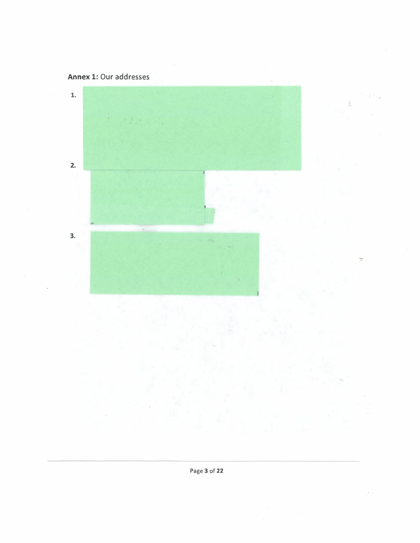



Ł

 $\sim$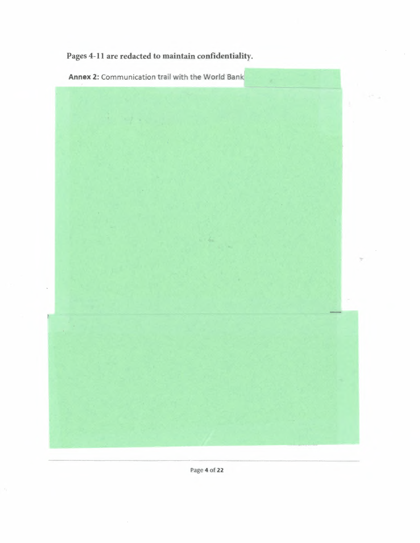Pages 4-11 are redacted to maintain confidentiality.

Annex 2: Communication trail with the World Bank



Page 4 of 22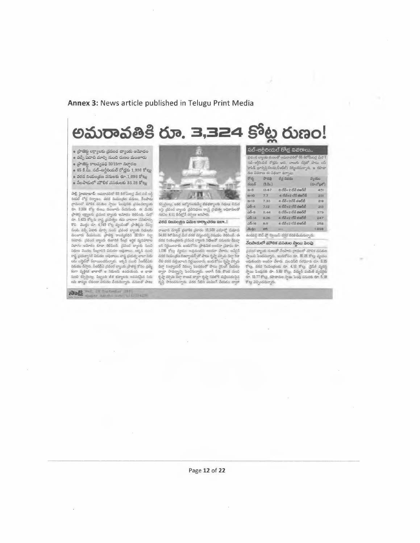#### **Annex 3: News article published in Telugu Print Media**

## అమరావతికి రూ. 3,324 కోట్ల రుణం!

 $\bullet$  ప్రాజెక్టు లక్ష్యాలకు చ్రపంచ బ్యాంకు ఆమోదం • వచ్చే పడాది మార్చి నుంచి రుణం మంజారు

• ప్రాజెక్టు కాలవ్యవధి 2019గా నిర్వారణ

 $\bullet$  65 కి.మీ. నబ్-ఆర్టీరియల్ రోద్లకు 1,998 కోట్లు  $\bullet$  వరద నియంత్రణ పనులకు రూ.1,036 కోట్లు • నేలపాడులో మౌలిక వసతులకు 85.28 కోట్లు

సా<u>థ్</u>. హైదరాబాద్: ఆమరావతిలో 65 కిలోమీటర్ల మేర సబ్ అర్టీ రియల్ రోడ్ల నిర్మాణం, వరద నియంత్రణ వనులు, నేలపాడు<br>గ్రామంలో మౌలిక వసతుల స్వాయి పెంపుసబి ప్రపంచబ్యాంకు fr. 3.324 5<sup>6</sup> % & mo 300 er od 3dision & 3.00 ప్రాజెక్టు ల్యాలకు చ్రవంచ బ్యాంకు ఆమోదం తెలిపింది. మరో<br>తూ. 1.425 కోట్లను రాష్ట్ర ప్రభుత్వం రమ వాటాగా సమకూర్చు<br>కొని - మొత్తం రూ. 4.749 కోట్ల వ్యయంతో ప్రాజెక్టును చేపల్ల<br>నుంటారు. చేమానం బాల్సి నుంచి చ్రవంచ బ్యాంకు నిధులను<br>న ూన్న ప్రయాంగ్లాని కుట్టానిం ఇమెలా - చెందా - చెంద్రం మెలా<br>రాష్ట్ర ప్రభుత్వానికి విభుదల అవుతాయి. రాష్ట్ర డి నుంచి ,సీఆర్ట్-వీట్<br>విమదల వేస్తారు. నీతదేడీఎ చైవంలో బ్యాంకు (పాజెక్టు కోసం (ప్రత్యే<br>కంగా - వ్యక్తిగత -ఖాతాలో - ఆ , సుంచి కన్సల్టింట్ల, సిబ్బంది జీత భత్యాలకు ఆవసరమైన నిధు<br>లను జావ్యం లేకుండా విడుదల కేయనున్నారు. వనులతో పాటు

Ros Información



 $\mathbb{E}$ వృలైంట్లు, ఇతర ఉద్యోగలలకయ్యే జీతభత్యాలకు నిధులు విడుద ా...<br>లపై వ్రవంచ బ్యాంకు వ్రతినిధులు రాద్ర వ్రభుత్వ అధికారులతో<br>గతనెల కి.11 రేదీల్లోనే చర్చలు జరిపారు.

### ~Cj~ !:JQX>o,g~ ~"~.:I5!a.I!tVJ \_\_ ! ...,.,\_ - ~~ **.... --**

రాజధాని మాన్షర్ భైటాళిక చైనారం  $13,500$  ఎకరాల్లో నుమారు ాలజాని మాన్రర్ ప్రణాశిక చైకారం 18,500 ఎకరాల్తో మమారు<br>రాజధాని మాన్రర్ ప్రణాశిక చైకారం 18,500 ఎకరాల్తో మమారు<br>54.68 కిలోమీలర్ల మేర వరద వస్త్రందన్న విషయం తెబిసిందే. ఈ<br>టని నిర్ణయించారు. ఇందుకోనం ప్రాథమిక అంచనా చ్రవారం రూ.. మీద నియంజనియ బ్రామిల్ ద్వాంజ్ సాధులం మనులకు బుక్కు<br>లని నిర్ణయించారు. ఇందుకోసం జ్రాథమిక అంచనా బ్రహరం రూ.<br>1.089 కోట్లు వ్యవసాయ అవుతుందని అంచనా మార్కు ఆనోలైన్ ంగ్ స్వాయం లు. ఇంటుం అధ్యయదరి. అందూ వేశారు, జన్మల్రెన్<br>'L088 కోట్లు వ్యయం అధయందరి. ఇందూ వేశారు, జనలైన్<br>వరక నియంత్రణ రిజిర్వాయస్స్*రో పాటు* కృష్ణా హృమ డెల్హా కెనా<br>డెల్హా దిఇశ్వాయస్ విడుగ్గు ఫెంలడంతో పాటు బ్రెంగ్ నేరు కొండ<br> క్టప్తా వశ్చిమ జేల్షా కాలువ ద్వారా థ్యప్తా సదిలోకి మళ్లించడంపైన<br>దృష్టి పారించనున్నారు. వరద నీటిని పంపింగ్ చేయడం ద్వారా

| రోడ్న        | ಕ್ಷಿತಿ ಸ | లేన్ల వివరం                               | ద్యయం       |
|--------------|----------|-------------------------------------------|-------------|
| నంజర్        | (5.5x.)  |                                           | (రూ.కోట్లలో |
| $8 - 8$      | 13.67    | లి లేన్+2 లేన్ <del>చఆ</del> ర్ <b>ట్</b> | 451         |
| $m - 10$     | 7.7      | $4.85 + 2.05$ au $56$                     | 231         |
| $8 - 13$     | 7.33     | 4 లేవే $+2$ లేన్ జాజర్ఐి                  | 219         |
| $-5 - 4$     | 7.12     | 4 లేనే+2 లేన్ దఅర్జి                      | 213         |
| <u>ධරි-9</u> | 11.44    | 6 లేన్+2 లేన్ జితరం                       | 379         |
| $-15 - 14$   | 8.26     | 4 లేవ్+2 లేన్ <del>జలర్</del> లీ          | 247         |
| $35 - 16$    | 8.6      | 4 లేన్÷2 లేనే <del>వఆర</del> ్ <b>టీ</b>  | 258         |
| <b>Zudo</b>  | 65.      |                                           | 1.998       |

.<br>సబ్-అర్జీలియల్ రోడ్ల వివరాలు..

సబ్-ఆర్థిరియల్ రోడ్లను ఆరు, నాలుగు డిస్టతో పాటు బస్

<mark>-వరిలో 65 కలోమీటర్ల</mark> మేర

ఉండవర్ణి ఔట్ ప్లో హ్నియిస్ దగ్గర వదిలిపియనున్నారు.<br>నే**లపాఁ దులో చూెలిక వసతుల స్మాయి పెంపు** 

వ్రపంచ త్యాంకు రుజంతో నేలపాకు (గామంలో మౌళిక చనతుల<br>స్థాయిని `పెంవసున్నారు, ఇందుకోసం రూ. 95.28 కోట్లు వ్యయం<br>అవతుందని అంబాగా వేశారు. మంచినీటి సరఫరాకు రూ. శి,85 they, sted nonogenti tr. 4.12 sky. @dd systy స్వాయి: పెంపునకు దూ. 5.88 కోట్లు, విద్యుత్ వంపిణీ వ్యవస్థకు రూ. 15.77 కోట్లు, రహదారుల స్త్రాయి పెంపు పనులకు రూ. 5,18 కోట్ల వెచ్చించనున్నారు.

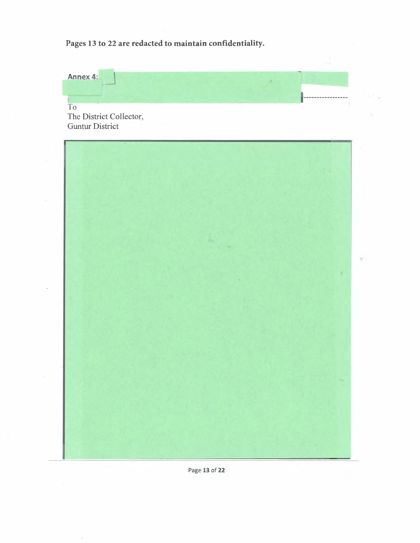**Pages 13 to 22 are redacted to maintain confidentiality.** 



Page **13 of 22**